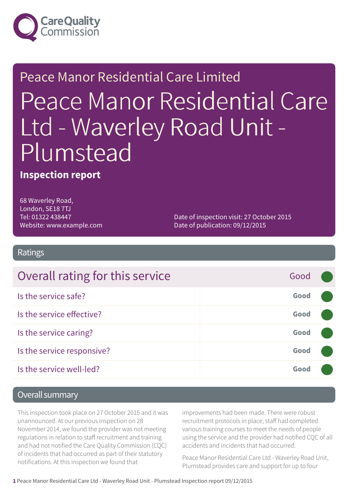

# Peace Manor Residential Care Limited Peace Manor Residential Care Ltd - Waverley Road Unit - Plumstead

#### **Inspection report**

68 Waverley Road, London, SE18 7TJ Tel: 01322 438447 Website: www.example.com

Date of inspection visit: 27 October 2015 Date of publication: 09/12/2015

Ratings

| Overall rating for this service | Good |  |
|---------------------------------|------|--|
| Is the service safe?            | Good |  |
| Is the service effective?       | Good |  |
| Is the service caring?          | Good |  |
| Is the service responsive?      | Good |  |
| Is the service well-led?        | Good |  |

#### Overall summary

This inspection took place on 27 October 2015 and it was unannounced. At our previous inspection on 28 November 2014, we found the provider was not meeting regulations in relation to staff recruitment and training and had not notified the Care Quality Commission (CQC) of incidents that had occurred as part of their statutory notifications. At this inspection we found that

improvements had been made. There were robust recruitment protocols in place, staff had completed various training courses to meet the needs of people using the service and the provider had notified CQC of all accidents and incidents that had occurred.

Peace Manor Residential Care Ltd - Waverley Road Unit, Plumstead provides care and support for up to four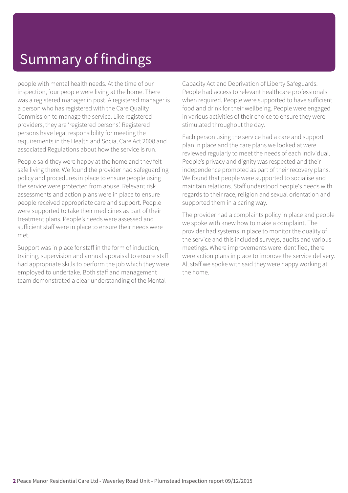## Summary of findings

people with mental health needs. At the time of our inspection, four people were living at the home. There was a registered manager in post. A registered manager is a person who has registered with the Care Quality Commission to manage the service. Like registered providers, they are 'registered persons'. Registered persons have legal responsibility for meeting the requirements in the Health and Social Care Act 2008 and associated Regulations about how the service is run.

People said they were happy at the home and they felt safe living there. We found the provider had safeguarding policy and procedures in place to ensure people using the service were protected from abuse. Relevant risk assessments and action plans were in place to ensure people received appropriate care and support. People were supported to take their medicines as part of their treatment plans. People's needs were assessed and sufficient staff were in place to ensure their needs were met.

Support was in place for staff in the form of induction, training, supervision and annual appraisal to ensure staff had appropriate skills to perform the job which they were employed to undertake. Both staff and management team demonstrated a clear understanding of the Mental

Capacity Act and Deprivation of Liberty Safeguards. People had access to relevant healthcare professionals when required. People were supported to have sufficient food and drink for their wellbeing. People were engaged in various activities of their choice to ensure they were stimulated throughout the day.

Each person using the service had a care and support plan in place and the care plans we looked at were reviewed regularly to meet the needs of each individual. People's privacy and dignity was respected and their independence promoted as part of their recovery plans. We found that people were supported to socialise and maintain relations. Staff understood people's needs with regards to their race, religion and sexual orientation and supported them in a caring way.

The provider had a complaints policy in place and people we spoke with knew how to make a complaint. The provider had systems in place to monitor the quality of the service and this included surveys, audits and various meetings. Where improvements were identified, there were action plans in place to improve the service delivery. All staff we spoke with said they were happy working at the home.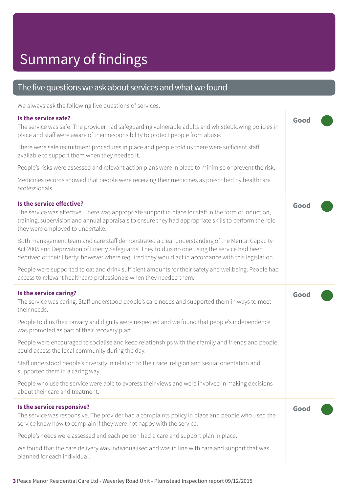#### The five questions we ask about services and what we found

We always ask the following five questions of services.

#### **Is the service safe?**

| Is the service safe?<br>The service was safe. The provider had safeguarding vulnerable adults and whistleblowing policies in<br>place and staff were aware of their responsibility to protect people from abuse.                                                                                         |      |  |
|----------------------------------------------------------------------------------------------------------------------------------------------------------------------------------------------------------------------------------------------------------------------------------------------------------|------|--|
| There were safe recruitment procedures in place and people told us there were sufficient staff<br>available to support them when they needed it.                                                                                                                                                         |      |  |
| People's risks were assessed and relevant action plans were in place to minimise or prevent the risk.                                                                                                                                                                                                    |      |  |
| Medicines records showed that people were receiving their medicines as prescribed by healthcare<br>professionals.                                                                                                                                                                                        |      |  |
| Is the service effective?<br>The service was effective. There was appropriate support in place for staff in the form of induction,<br>training, supervision and annual appraisals to ensure they had appropriate skills to perform the role<br>they were employed to undertake.                          | Good |  |
| Both management team and care staff demonstrated a clear understanding of the Mental Capacity<br>Act 2005 and Deprivation of Liberty Safeguards. They told us no one using the service had been<br>deprived of their liberty; however where required they would act in accordance with this legislation. |      |  |
| People were supported to eat and drink sufficient amounts for their safety and wellbeing. People had<br>access to relevant healthcare professionals when they needed them.                                                                                                                               |      |  |
| Is the service caring?<br>The service was caring. Staff understood people's care needs and supported them in ways to meet<br>their needs.                                                                                                                                                                | Good |  |
| People told us their privacy and dignity were respected and we found that people's independence<br>was promoted as part of their recovery plan.                                                                                                                                                          |      |  |
| People were encouraged to socialise and keep relationships with their family and friends and people<br>could access the local community during the day.                                                                                                                                                  |      |  |
| Staff understood people's diversity in relation to their race, religion and sexual orientation and<br>supported them in a caring way.                                                                                                                                                                    |      |  |
| People who use the service were able to express their views and were involved in making decisions<br>about their care and treatment.                                                                                                                                                                     |      |  |
| Is the service responsive?<br>The service was responsive. The provider had a complaints policy in place and people who used the<br>service knew how to complain if they were not happy with the service.                                                                                                 | Good |  |
| People's needs were assessed and each person had a care and support plan in place.                                                                                                                                                                                                                       |      |  |
| We found that the care delivery was individualised and was in line with care and support that was<br>planned for each individual.                                                                                                                                                                        |      |  |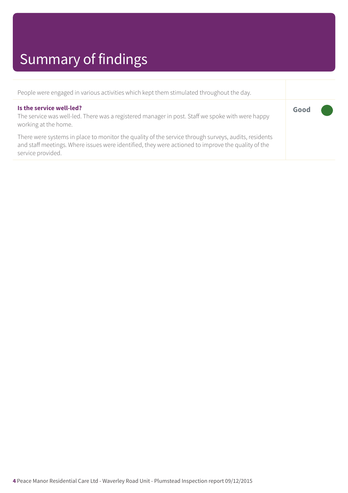## Summary of findings

| People were engaged in various activities which kept them stimulated throughout the day.                                                                                                                                        |      |  |
|---------------------------------------------------------------------------------------------------------------------------------------------------------------------------------------------------------------------------------|------|--|
| Is the service well-led?<br>The service was well-led. There was a registered manager in post. Staff we spoke with were happy<br>working at the home.                                                                            | Good |  |
| There were systems in place to monitor the quality of the service through surveys, audits, residents<br>and staff meetings. Where issues were identified, they were actioned to improve the quality of the<br>service provided. |      |  |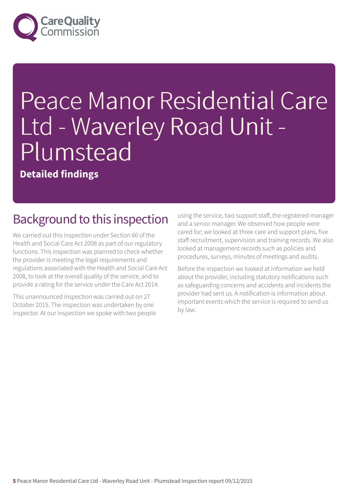

# Peace Manor Residential Care Ltd - Waverley Road Unit - Plumstead

**Detailed findings**

#### Background to this inspection

We carried out this inspection under Section 60 of the Health and Social Care Act 2008 as part of our regulatory functions. This inspection was planned to check whether the provider is meeting the legal requirements and regulations associated with the Health and Social Care Act 2008, to look at the overall quality of the service, and to provide a rating for the service under the Care Act 2014.

This unannounced inspection was carried out on 27 October 2015. The inspection was undertaken by one inspector. At our inspection we spoke with two people using the service, two support staff, the registered manager and a senior manager. We observed how people were cared for; we looked at three care and support plans, five staff recruitment, supervision and training records. We also looked at management records such as policies and procedures, surveys, minutes of meetings and audits.

Before the inspection we looked at information we held about the provider, including statutory notifications such as safeguarding concerns and accidents and incidents the provider had sent us. A notification is information about important events which the service is required to send us by law.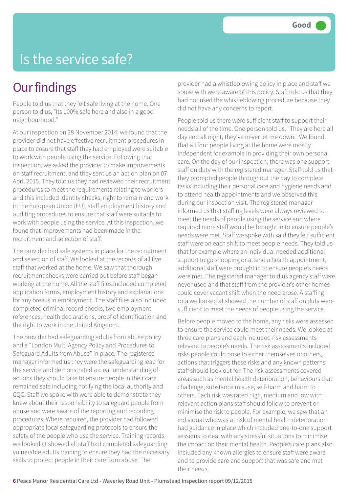#### Is the service safe?

#### **Our findings**

People told us that they felt safe living at the home. One person told us, "Its 100% safe here and also in a good neighbourhood."

At our inspection on 28 November 2014, we found that the provider did not have effective recruitment procedures in place to ensure that staff they had employed were suitable to work with people using the service. Following that inspection, we asked the provider to make improvements on staff recruitment, and they sent us an action plan on 07 April 2015. They told us they had reviewed their recruitment procedures to meet the requirements relating to workers and this included identity checks, right to remain and work in the European Union (EU), staff employment history and auditing procedures to ensure that staff were suitable to work with people using the service. At this inspection, we found that improvements had been made in the recruitment and selection of staff.

The provider had safe systems in place for the recruitment and selection of staff. We looked at the records of all five staff that worked at the home. We saw that thorough recruitment checks were carried out before staff began working at the home. All the staff files included completed application forms, employment history and explanations for any breaks in employment. The staff files also included completed criminal record checks, two employment references, health declarations, proof of identification and the right to work in the United Kingdom.

The provider had safeguarding adults from abuse policy and a "London Multi Agency Policy and Procedures to Safeguard Adults from Abuse" in place. The registered manager informed us they were the safeguarding lead for the service and demonstrated a clear understanding of actions they should take to ensure people in their care remained safe including notifying the local authority and CQC. Staff we spoke with were able to demonstrate they knew about their responsibility to safeguard people from abuse and were aware of the reporting and recording procedures. Where required, the provider had followed appropriate local safeguarding protocols to ensure the safety of the people who use the service. Training records we looked at showed all staff had completed safeguarding vulnerable adults training to ensure they had the necessary skills to protect people in their care from abuse. The

provider had a whistleblowing policy in place and staff we spoke with were aware of this policy. Staff told us that they had not used the whistleblowing procedure because they did not have any concerns to report.

People told us there were sufficient staff to support their needs all of the time. One person told us, "They are here all day and all night, they've never let me down." We found that all four people living at the home were mostly independent for example in providing their own personal care. On the day of our inspection, there was one support staff on duty with the registered manager. Staff told us that they prompted people throughout the day to complete tasks including their personal care and hygiene needs and to attend health appointments and we observed this during our inspection visit. The registered manager informed us that staffing levels were always reviewed to meet the needs of people using the service and where required more staff would be brought in to ensure people's needs were met. Staff we spoke with said they felt sufficient staff were on each shift to meet people needs. They told us that for example where an individual needed additional support to go shopping or attend a health appointment, additional staff were brought in to ensure people's needs were met. The registered manager told us agency staff were never used and that staff from the provider's other homes could cover vacant shift when the need arose. A staffing rota we looked at showed the number of staff on duty were sufficient to meet the needs of people using the service.

Before people moved to the home, any risks were assessed to ensure the service could meet their needs. We looked at three care plans and each included risk assessments relevant to people's needs. The risk assessments included risks people could pose to either themselves or others, actions that triggers these risks and any known patterns staff should look out for. The risk assessments covered areas such as mental health deterioration, behaviours that challenge, substance misuse, self-harm and harm to others. Each risk was rated high, medium and low with relevant action plans staff should follow to prevent or minimise the risk to people. For example, we saw that an individual who was at risk of mental health deterioration had guidance in place which included one-to-one support sessions to deal with any stressful situations to minimise the impact on their mental health. People's care plans also included any known allergies to ensure staff were aware and to provide care and support that was safe and met their needs.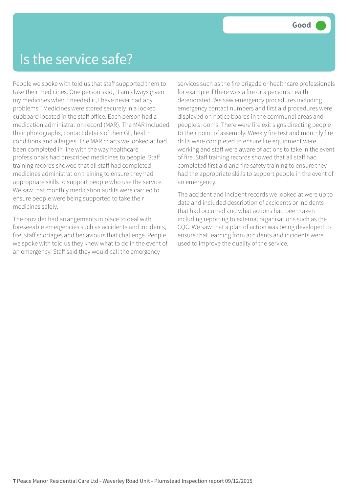#### Is the service safe?

People we spoke with told us that staff supported them to take their medicines. One person said, "I am always given my medicines when I needed it, I have never had any problems." Medicines were stored securely in a locked cupboard located in the staff office. Each person had a medication administration record (MAR). The MAR included their photographs, contact details of their GP, health conditions and allergies. The MAR charts we looked at had been completed in line with the way healthcare professionals had prescribed medicines to people. Staff training records showed that all staff had completed medicines administration training to ensure they had appropriate skills to support people who use the service. We saw that monthly medication audits were carried to ensure people were being supported to take their medicines safely.

The provider had arrangements in place to deal with foreseeable emergencies such as accidents and incidents, fire, staff shortages and behaviours that challenge. People we spoke with told us they knew what to do in the event of an emergency. Staff said they would call the emergency

services such as the fire brigade or healthcare professionals for example if there was a fire or a person's health deteriorated. We saw emergency procedures including emergency contact numbers and first aid procedures were displayed on notice boards in the communal areas and people's rooms. There were fire exit signs directing people to their point of assembly. Weekly fire test and monthly fire drills were completed to ensure fire equipment were working and staff were aware of actions to take in the event of fire. Staff training records showed that all staff had completed first aid and fire safety training to ensure they had the appropriate skills to support people in the event of an emergency.

The accident and incident records we looked at were up to date and included description of accidents or incidents that had occurred and what actions had been taken including reporting to external organisations such as the CQC. We saw that a plan of action was being developed to ensure that learning from accidents and incidents were used to improve the quality of the service.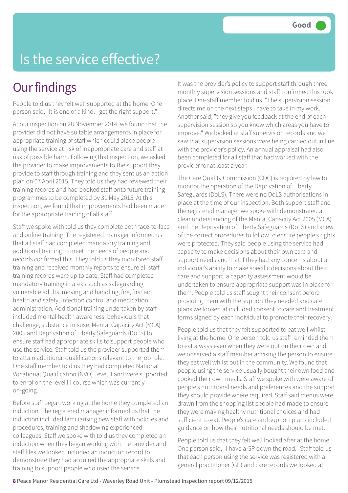## Is the service effective?

#### **Our findings**

People told us they felt well supported at the home. One person said, "It is one of a kind, I get the right support."

At our inspection on 28 November 2014, we found that the provider did not have suitable arrangements in place for appropriate training of staff which could place people using the service at risk of inappropriate care and staff at risk of possible harm. Following that inspection, we asked the provider to make improvements to the support they provide to staff through training and they sent us an action plan on 07 April 2015. They told us they had reviewed their training records and had booked staff onto future training programmes to be completed by 31 May 2015. At this inspection, we found that improvements had been made for the appropriate training of all staff.

Staff we spoke with told us they complete both face-to-face and online training. The registered manager informed us that all staff had completed mandatory training and additional training to meet the needs of people and records confirmed this. They told us they monitored staff training and received monthly reports to ensure all staff training records were up to date. Staff had completed mandatory training in areas such as safeguarding vulnerable adults, moving and handling, fire, first aid, health and safety, infection control and medication administration. Additional training undertaken by staff included mental health awareness, behaviours that challenge, substance misuse, Mental Capacity Act (MCA) 2005 and Deprivation of Liberty Safeguards (DoLS) to ensure staff had appropriate skills to support people who use the service. Staff told us the provider supported them to attain additional qualifications relevant to the job role. One staff member told us they had completed National Vocational Qualification (NVQ) Level II and were supported to enrol on the level III course which was currently on-going.

Before staff began working at the home they completed an induction. The registered manager informed us that the induction included familiarising new staff with policies and procedures, training and shadowing experienced colleagues. Staff we spoke with told us they completed an induction when they began working with the provider and staff files we looked included an induction record to demonstrate they had acquired the appropriate skills and training to support people who used the service.

It was the provider's policy to support staff through three monthly supervision sessions and staff confirmed this took place. One staff member told us, "The supervision session directs me on the next steps I have to take in my work." Another said, "they give you feedback at the end of each supervision session so you know which areas you have to improve." We looked at staff supervision records and we saw that supervision sessions were being carried out in line with the provider's policy. An annual appraisal had also been completed for all staff that had worked with the provider for at least a year.

The Care Quality Commission (CQC) is required by law to monitor the operation of the Deprivation of Liberty Safeguards (DoLS). There were no DoLS authorisations in place at the time of our inspection. Both support staff and the registered manager we spoke with demonstrated a clear understanding of the Mental Capacity Act 2005 (MCA) and the Deprivation of Liberty Safeguards (DoLS) and knew of the correct procedures to follow to ensure people's rights were protected. They said people using the service had capacity to make decisions about their own care and support needs and that if they had any concerns about an individual's ability to make specific decisions about their care and support, a capacity assessment would be undertaken to ensure appropriate support was in place for them. People told us staff sought their consent before providing them with the support they needed and care plans we looked at included consent to care and treatment forms signed by each individual to promote their recovery.

People told us that they felt supported to eat well whilst living at the home. One person told us staff reminded them to eat always even when they were out on their own and we observed a staff member advising the person to ensure they eat well whilst out in the community. We found that people using the service usually bought their own food and cooked their own meals. Staff we spoke with were aware of people's nutritional needs and preferences and the support they should provide where required. Staff said menus were drawn from the shopping list people had made to ensure they were making healthy nutritional choices and had sufficient to eat. People's care and support plans included guidance on how their nutritional needs should be met.

People told us that they felt well looked after at the home. One person said, "I have a GP down the road." Staff told us that each person using the service was registered with a general practitioner (GP) and care records we looked at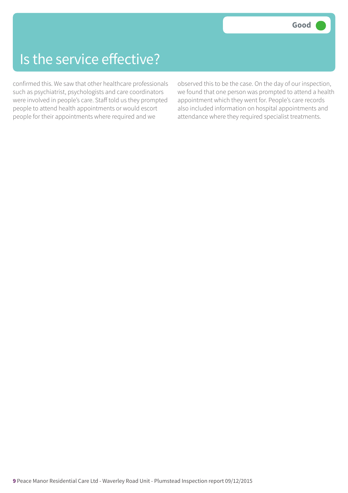#### Is the service effective?

confirmed this. We saw that other healthcare professionals such as psychiatrist, psychologists and care coordinators were involved in people's care. Staff told us they prompted people to attend health appointments or would escort people for their appointments where required and we

observed this to be the case. On the day of our inspection, we found that one person was prompted to attend a health appointment which they went for. People's care records also included information on hospital appointments and attendance where they required specialist treatments.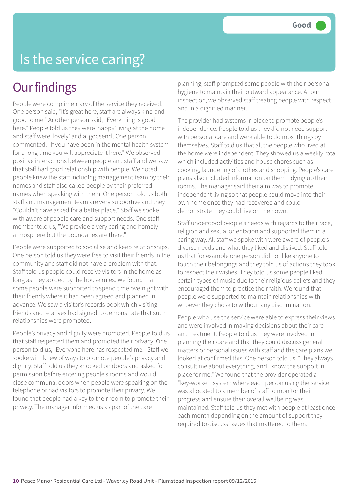#### Is the service caring?

#### **Our findings**

People were complimentary of the service they received. One person said, "It's great here, staff are always kind and good to me." Another person said, "Everything is good here." People told us they were 'happy' living at the home and staff were 'lovely' and a 'godsend'. One person commented, "If you have been in the mental health system for a long time you will appreciate it here." We observed positive interactions between people and staff and we saw that staff had good relationship with people. We noted people knew the staff including management team by their names and staff also called people by their preferred names when speaking with them. One person told us both staff and management team are very supportive and they "Couldn't have asked for a better place." Staff we spoke with aware of people care and support needs. One staff member told us, "We provide a very caring and homely atmosphere but the boundaries are there."

People were supported to socialise and keep relationships. One person told us they were free to visit their friends in the community and staff did not have a problem with that. Staff told us people could receive visitors in the home as long as they abided by the house rules. We found that some people were supported to spend time overnight with their friends where it had been agreed and planned in advance. We saw a visitor's records book which visiting friends and relatives had signed to demonstrate that such relationships were promoted.

People's privacy and dignity were promoted. People told us that staff respected them and promoted their privacy. One person told us, "Everyone here has respected me." Staff we spoke with knew of ways to promote people's privacy and dignity. Staff told us they knocked on doors and asked for permission before entering people's rooms and would close communal doors when people were speaking on the telephone or had visitors to promote their privacy. We found that people had a key to their room to promote their privacy. The manager informed us as part of the care

planning; staff prompted some people with their personal hygiene to maintain their outward appearance. At our inspection, we observed staff treating people with respect and in a dignified manner.

The provider had systems in place to promote people's independence. People told us they did not need support with personal care and were able to do most things by themselves. Staff told us that all the people who lived at the home were independent. They showed us a weekly rota which included activities and house chores such as cooking, laundering of clothes and shopping. People's care plans also included information on them tidying up their rooms. The manager said their aim was to promote independent living so that people could move into their own home once they had recovered and could demonstrate they could live on their own.

Staff understood people's needs with regards to their race, religion and sexual orientation and supported them in a caring way. All staff we spoke with were aware of people's diverse needs and what they liked and disliked. Staff told us that for example one person did not like anyone to touch their belongings and they told us of actions they took to respect their wishes. They told us some people liked certain types of music due to their religious beliefs and they encouraged them to practice their faith. We found that people were supported to maintain relationships with whoever they chose to without any discrimination.

People who use the service were able to express their views and were involved in making decisions about their care and treatment. People told us they were involved in planning their care and that they could discuss general matters or personal issues with staff and the care plans we looked at confirmed this. One person told us, "They always consult me about everything, and I know the support in place for me." We found that the provider operated a "key-worker" system where each person using the service was allocated to a member of staff to monitor their progress and ensure their overall wellbeing was maintained. Staff told us they met with people at least once each month depending on the amount of support they required to discuss issues that mattered to them.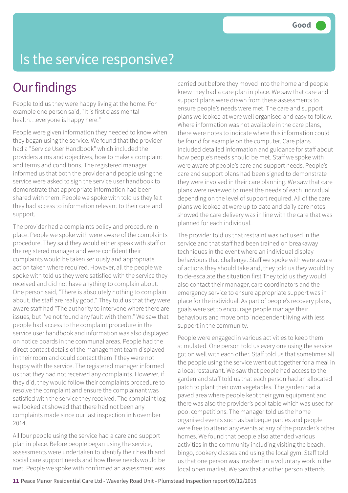### Is the service responsive?

#### **Our findings**

People told us they were happy living at the home. For example one person said, "It is first class mental health…everyone is happy here."

People were given information they needed to know when they began using the service. We found that the provider had a "Service User Handbook" which included the providers aims and objectives, how to make a complaint and terms and conditions. The registered manager informed us that both the provider and people using the service were asked to sign the service user handbook to demonstrate that appropriate information had been shared with them. People we spoke with told us they felt they had access to information relevant to their care and support.

The provider had a complaints policy and procedure in place. People we spoke with were aware of the complaints procedure. They said they would either speak with staff or the registered manager and were confident their complaints would be taken seriously and appropriate action taken where required. However, all the people we spoke with told us they were satisfied with the service they received and did not have anything to complain about. One person said, "There is absolutely nothing to complain about, the staff are really good." They told us that they were aware staff had "The authority to intervene where there are issues, but I've not found any fault with them." We saw that people had access to the complaint procedure in the service user handbook and information was also displayed on notice boards in the communal areas. People had the direct contact details of the management team displayed in their room and could contact them if they were not happy with the service. The registered manager informed us that they had not received any complaints. However, if they did, they would follow their complaints procedure to resolve the complaint and ensure the complainant was satisfied with the service they received. The complaint log we looked at showed that there had not been any complaints made since our last inspection in November 2014.

All four people using the service had a care and support plan in place. Before people began using the service, assessments were undertaken to identify their health and social care support needs and how these needs would be met. People we spoke with confirmed an assessment was

carried out before they moved into the home and people knew they had a care plan in place. We saw that care and support plans were drawn from these assessments to ensure people's needs were met. The care and support plans we looked at were well organised and easy to follow. Where information was not available in the care plans, there were notes to indicate where this information could be found for example on the computer. Care plans included detailed information and guidance for staff about how people's needs should be met. Staff we spoke with were aware of people's care and support needs. People's care and support plans had been signed to demonstrate they were involved in their care planning. We saw that care plans were reviewed to meet the needs of each individual depending on the level of support required. All of the care plans we looked at were up to date and daily care notes showed the care delivery was in line with the care that was planned for each individual.

The provider told us that restraint was not used in the service and that staff had been trained on breakaway techniques in the event where an individual display behaviours that challenge. Staff we spoke with were aware of actions they should take and, they told us they would try to de-escalate the situation first They told us they would also contact their manager, care coordinators and the emergency service to ensure appropriate support was in place for the individual. As part of people's recovery plans, goals were set to encourage people manage their behaviours and move onto independent living with less support in the community.

People were engaged in various activities to keep them stimulated. One person told us every one using the service got on well with each other. Staff told us that sometimes all the people using the service went out together for a meal in a local restaurant. We saw that people had access to the garden and staff told us that each person had an allocated patch to plant their own vegetables. The garden had a paved area where people kept their gym equipment and there was also the provider's pool table which was used for pool competitions. The manager told us the home organised events such as barbeque parties and people were free to attend any events at any of the provider's other homes. We found that people also attended various activities in the community including visiting the beach, bingo, cookery classes and using the local gym. Staff told us that one person was involved in a voluntary work in the local open market. We saw that another person attends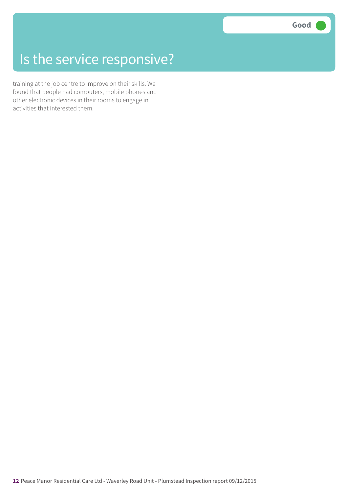### Is the service responsive?

training at the job centre to improve on their skills. We found that people had computers, mobile phones and other electronic devices in their rooms to engage in activities that interested them.